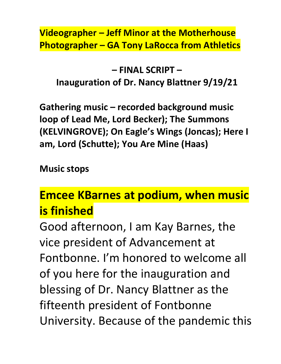### **Videographer – Jeff Minor at the Motherhouse Photographer – GA Tony LaRocca from Athletics**

**– FINAL SCRIPT – Inauguration of Dr. Nancy Blattner 9/19/21**

**Gathering music – recorded background music loop of Lead Me, Lord Becker); The Summons (KELVINGROVE); On Eagle's Wings (Joncas); Here I am, Lord (Schutte); You Are Mine (Haas)**

**Music stops**

# **Emcee KBarnes at podium, when music is finished**

Good afternoon, I am Kay Barnes, the vice president of Advancement at Fontbonne. I'm honored to welcome all of you here for the inauguration and blessing of Dr. Nancy Blattner as the fifteenth president of Fontbonne University. Because of the pandemic this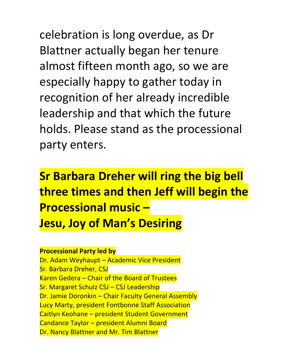celebration is long overdue, as Dr Blattner actually began her tenure almost fifteen month ago, so we are especially happy to gather today in recognition of her already incredible leadership and that which the future holds. Please stand as the processional party enters.

**Sr Barbara Dreher will ring the big bell three times and then Jeff will begin the Processional music – Jesu, Joy of Man's Desiring**

#### **Processional Party led by**

Dr. Adam Weyhaupt – Academic Vice President Sr. Barbara Dreher, CSJ Karen Gedera – Chair of the Board of Trustees Sr. Margaret Schulz CSJ – CSJ Leadership Dr. Jamie Doronkin – Chair Faculty General Assembly Lucy Marty, president Fontbonne Staff Association Caitlyn Keohane – president Student Government Candance Taylor – president Alumni Board Dr. Nancy Blattner and Mr. Tim Blattner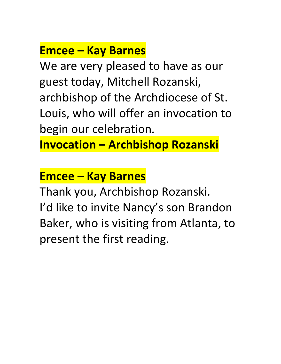## **Emcee – Kay Barnes**

We are very pleased to have as our guest today, Mitchell Rozanski, archbishop of the Archdiocese of St. Louis, who will offer an invocation to begin our celebration.

**Invocation – Archbishop Rozanski**

### **Emcee – Kay Barnes**

Thank you, Archbishop Rozanski. I'd like to invite Nancy's son Brandon Baker, who is visiting from Atlanta, to present the first reading.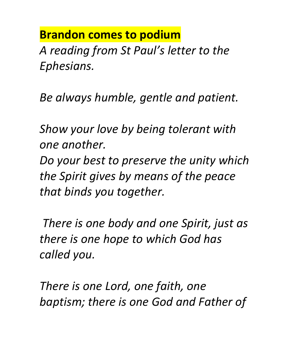# **Brandon comes to podium**

*A reading from St Paul's letter to the Ephesians.* 

*Be always humble, gentle and patient.* 

*Show your love by being tolerant with one another. Do your best to preserve the unity which* 

*the Spirit gives by means of the peace that binds you together.* 

*There is one body and one Spirit, just as there is one hope to which God has called you.* 

*There is one Lord, one faith, one baptism; there is one God and Father of*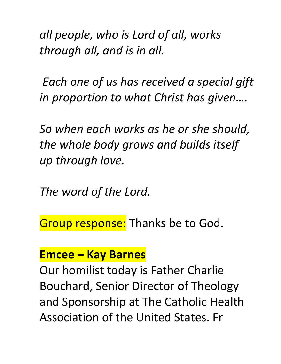*all people, who is Lord of all, works through all, and is in all.* 

*Each one of us has received a special gift in proportion to what Christ has given….*

*So when each works as he or she should, the whole body grows and builds itself up through love.*

*The word of the Lord.* 

Group response: Thanks be to God.

### **Emcee – Kay Barnes**

Our homilist today is Father Charlie Bouchard, Senior Director of Theology and Sponsorship at The Catholic Health Association of the United States. Fr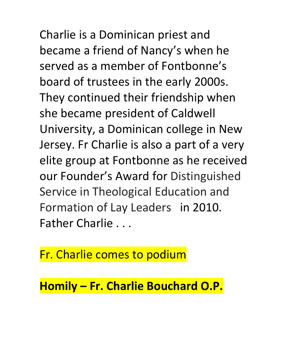Charlie is a Dominican priest and became a friend of Nancy's when he served as a member of Fontbonne's board of trustees in the early 2000s. They continued their friendship when she became president of Caldwell University, a Dominican college in New Jersey. Fr Charlie is also a part of a very elite group at Fontbonne as he received our Founder's Award for Distinguished Service in Theological Education and Formation of Lay Leaders in 2010. Father Charlie . . .

Fr. Charlie comes to podium

**Homily – Fr. Charlie Bouchard O.P.**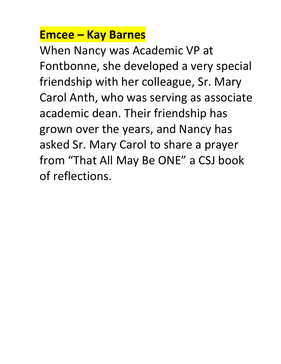# **Emcee – Kay Barnes**

When Nancy was Academic VP at Fontbonne, she developed a very special friendship with her colleague, Sr. Mary Carol Anth, who was serving as associate academic dean. Their friendship has grown over the years, and Nancy has asked Sr. Mary Carol to share a prayer from "That All May Be ONE" a CSJ book of reflections.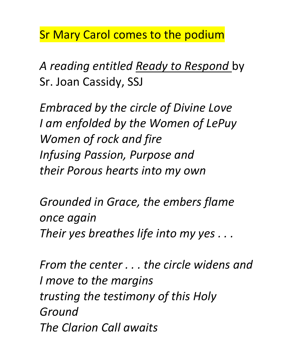Sr Mary Carol comes to the podium

*A reading entitled Ready to Respond* by Sr. Joan Cassidy, SSJ

*Embraced by the circle of Divine Love I am enfolded by the Women of LePuy Women of rock and fire Infusing Passion, Purpose and their Porous hearts into my own*

*Grounded in Grace, the embers flame once again Their yes breathes life into my yes . . .*

*From the center . . . the circle widens and I move to the margins trusting the testimony of this Holy Ground The Clarion Call awaits*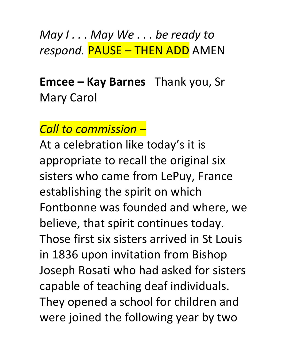*May I . . . May We . . . be ready to respond.* PAUSE – THEN ADD AMEN

# **Emcee – Kay Barnes** Thank you, Sr Mary Carol

### *Call to commission –*

At a celebration like today's it is appropriate to recall the original six sisters who came from LePuy, France establishing the spirit on which Fontbonne was founded and where, we believe, that spirit continues today. Those first six sisters arrived in St Louis in 1836 upon invitation from Bishop Joseph Rosati who had asked for sisters capable of teaching deaf individuals. They opened a school for children and were joined the following year by two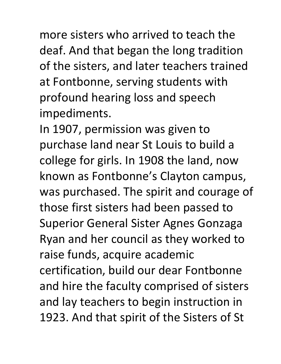more sisters who arrived to teach the deaf. And that began the long tradition of the sisters, and later teachers trained at Fontbonne, serving students with profound hearing loss and speech impediments.

In 1907, permission was given to purchase land near St Louis to build a college for girls. In 1908 the land, now known as Fontbonne's Clayton campus, was purchased. The spirit and courage of those first sisters had been passed to Superior General Sister Agnes Gonzaga Ryan and her council as they worked to raise funds, acquire academic certification, build our dear Fontbonne and hire the faculty comprised of sisters and lay teachers to begin instruction in 1923. And that spirit of the Sisters of St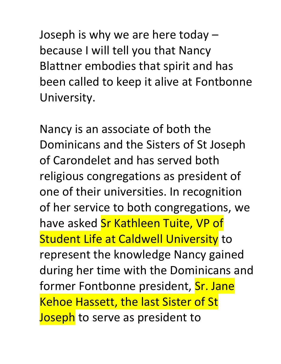Joseph is why we are here today – because I will tell you that Nancy Blattner embodies that spirit and has been called to keep it alive at Fontbonne University.

Nancy is an associate of both the Dominicans and the Sisters of St Joseph of Carondelet and has served both religious congregations as president of one of their universities. In recognition of her service to both congregations, we have asked Sr Kathleen Tuite, VP of **Student Life at Caldwell University to** represent the knowledge Nancy gained during her time with the Dominicans and former Fontbonne president, Sr. Jane Kehoe Hassett, the last Sister of St **Joseph** to serve as president to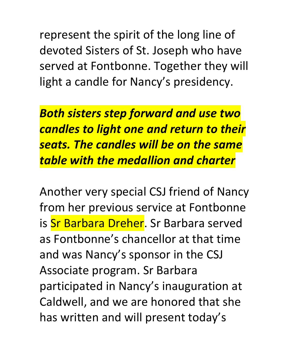represent the spirit of the long line of devoted Sisters of St. Joseph who have served at Fontbonne. Together they will light a candle for Nancy's presidency.

*Both sisters step forward and use two candles to light one and return to their seats. The candles will be on the same table with the medallion and charter*

Another very special CSJ friend of Nancy from her previous service at Fontbonne is Sr Barbara Dreher. Sr Barbara served as Fontbonne's chancellor at that time and was Nancy's sponsor in the CSJ Associate program. Sr Barbara participated in Nancy's inauguration at Caldwell, and we are honored that she has written and will present today's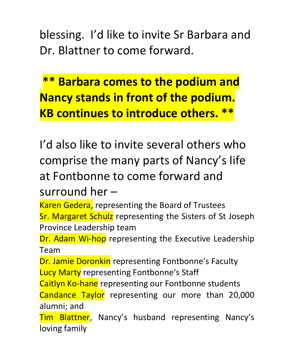blessing. I'd like to invite Sr Barbara and Dr. Blattner to come forward.

**\*\* Barbara comes to the podium and Nancy stands in front of the podium. KB continues to introduce others. \*\***

I'd also like to invite several others who comprise the many parts of Nancy's life at Fontbonne to come forward and

surround her –

Karen Gedera, representing the Board of Trustees

Sr. Margaret Schulz representing the Sisters of St Joseph Province Leadership team

Dr. Adam Wi-hop representing the Executive Leadership Team

Dr. Jamie Doronkin representing Fontbonne's Faculty **Lucy Marty representing Fontbonne's Staff** 

Caitlyn Ko-hane representing our Fontbonne students Candance Taylor representing our more than 20,000 alumni; and

Tim Blattner, Nancy's husband representing Nancy's loving family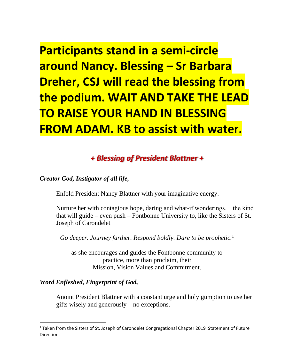**Participants stand in a semi-circle around Nancy. Blessing – Sr Barbara Dreher, CSJ will read the blessing from the podium. WAIT AND TAKE THE LEAD TO RAISE YOUR HAND IN BLESSING FROM ADAM. KB to assist with water.** 

### *+ Blessing of President Blattner +*

*Creator God, Instigator of all life,*

Enfold President Nancy Blattner with your imaginative energy.

Nurture her with contagious hope, daring and what-if wonderings… the kind that will guide – even push – Fontbonne University to, like the Sisters of St. Joseph of Carondelet

*Go deeper. Journey farther. Respond boldly. Dare to be prophetic.*<sup>1</sup>

as she encourages and guides the Fontbonne community to practice, more than proclaim, their Mission, Vision Values and Commitment.

#### *Word Enfleshed, Fingerprint of God,*

Anoint President Blattner with a constant urge and holy gumption to use her gifts wisely and generously – no exceptions.

<sup>&</sup>lt;sup>1</sup> Taken from the Sisters of St. Joseph of Carondelet Congregational Chapter 2019 Statement of Future **Directions**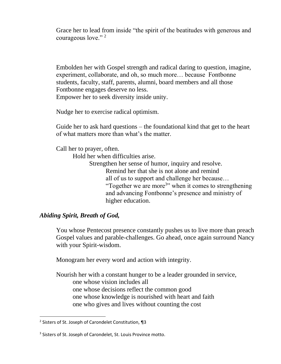Grace her to lead from inside "the spirit of the beatitudes with generous and courageous love."<sup>2</sup>

Embolden her with Gospel strength and radical daring to question, imagine, experiment, collaborate, and oh, so much more… because Fontbonne students, faculty, staff, parents, alumni, board members and all those Fontbonne engages deserve no less. Empower her to seek diversity inside unity.

Nudge her to exercise radical optimism.

Guide her to ask hard questions – the foundational kind that get to the heart of what matters more than what's the matter.

Call her to prayer, often.

Hold her when difficulties arise.

Strengthen her sense of humor, inquiry and resolve. Remind her that she is not alone and remind all of us to support and challenge her because… "Together we are more<sup>3</sup>" when it comes to strengthening and advancing Fontbonne's presence and ministry of higher education.

#### *Abiding Spirit, Breath of God,*

You whose Pentecost presence constantly pushes us to live more than preach Gospel values and parable-challenges. Go ahead, once again surround Nancy with your Spirit-wisdom.

Monogram her every word and action with integrity.

Nourish her with a constant hunger to be a leader grounded in service, one whose vision includes all one whose decisions reflect the common good one whose knowledge is nourished with heart and faith one who gives and lives without counting the cost

<sup>2</sup> Sisters of St. Joseph of Carondelet Constitution, ¶3

<sup>&</sup>lt;sup>3</sup> Sisters of St. Joseph of Carondelet, St. Louis Province motto.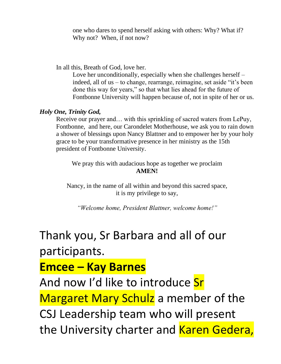one who dares to spend herself asking with others: Why? What if? Why not? When, if not now?

In all this, Breath of God, love her.

Love her unconditionally, especially when she challenges herself – indeed, all of us – to change, rearrange, reimagine, set aside "it's been done this way for years," so that what lies ahead for the future of Fontbonne University will happen because of, not in spite of her or us.

#### *Holy One, Trinity God,*

Receive our prayer and… with this sprinkling of sacred waters from LePuy, Fontbonne, and here, our Carondelet Motherhouse, we ask you to rain down a shower of blessings upon Nancy Blattner and to empower her by your holy grace to be your transformative presence in her ministry as the 15th president of Fontbonne University.

We pray this with audacious hope as together we proclaim **AMEN!**

Nancy, in the name of all within and beyond this sacred space, it is my privilege to say,

*"Welcome home, President Blattner, welcome home!"*

# Thank you, Sr Barbara and all of our participants.

### **Emcee – Kay Barnes**

And now I'd like to introduce Sr Margaret Mary Schulz a member of the CSJ Leadership team who will present the University charter and Karen Gedera,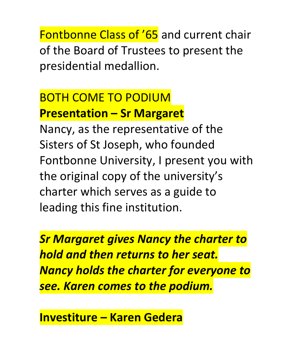Fontbonne Class of '65 and current chair of the Board of Trustees to present the presidential medallion.

# BOTH COME TO PODIUM **Presentation – Sr Margaret**

Nancy, as the representative of the Sisters of St Joseph, who founded Fontbonne University, I present you with the original copy of the university's charter which serves as a guide to leading this fine institution.

*Sr Margaret gives Nancy the charter to hold and then returns to her seat. Nancy holds the charter for everyone to see. Karen comes to the podium.*

**Investiture – Karen Gedera**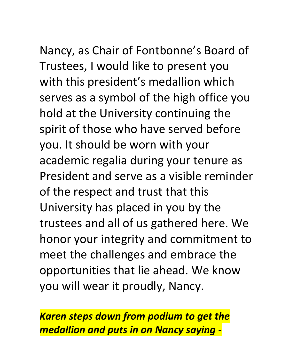Nancy, as Chair of Fontbonne's Board of Trustees, I would like to present you with this president's medallion which serves as a symbol of the high office you hold at the University continuing the spirit of those who have served before you. It should be worn with your academic regalia during your tenure as President and serve as a visible reminder of the respect and trust that this University has placed in you by the trustees and all of us gathered here. We honor your integrity and commitment to meet the challenges and embrace the opportunities that lie ahead. We know you will wear it proudly, Nancy.

*Karen steps down from podium to get the medallion and puts in on Nancy saying -*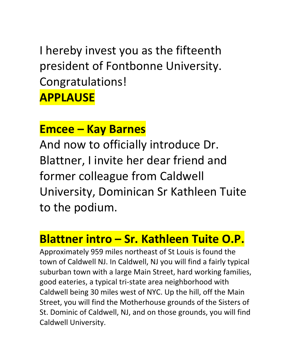I hereby invest you as the fifteenth president of Fontbonne University. Congratulations! **APPLAUSE**

### **Emcee – Kay Barnes**

And now to officially introduce Dr. Blattner, I invite her dear friend and former colleague from Caldwell University, Dominican Sr Kathleen Tuite to the podium.

## **Blattner intro – Sr. Kathleen Tuite O.P.**

Approximately 959 miles northeast of St Louis is found the town of Caldwell NJ. In Caldwell, NJ you will find a fairly typical suburban town with a large Main Street, hard working families, good eateries, a typical tri-state area neighborhood with Caldwell being 30 miles west of NYC. Up the hill, off the Main Street, you will find the Motherhouse grounds of the Sisters of St. Dominic of Caldwell, NJ, and on those grounds, you will find Caldwell University.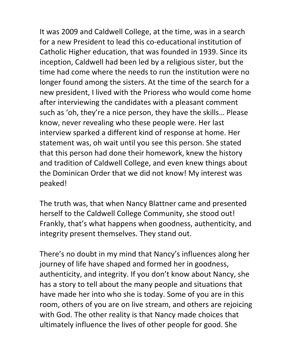It was 2009 and Caldwell College, at the time, was in a search for a new President to lead this co-educational institution of Catholic Higher education, that was founded in 1939. Since its inception, Caldwell had been led by a religious sister, but the time had come where the needs to run the institution were no longer found among the sisters. At the time of the search for a new president, I lived with the Prioress who would come home after interviewing the candidates with a pleasant comment such as 'oh, they're a nice person, they have the skills… Please know, never revealing who these people were. Her last interview sparked a different kind of response at home. Her statement was, oh wait until you see this person. She stated that this person had done their homework, knew the history and tradition of Caldwell College, and even knew things about the Dominican Order that we did not know! My interest was peaked!

The truth was, that when Nancy Blattner came and presented herself to the Caldwell College Community, she stood out! Frankly, that's what happens when goodness, authenticity, and integrity present themselves. They stand out.

There's no doubt in my mind that Nancy's influences along her journey of life have shaped and formed her in goodness, authenticity, and integrity. If you don't know about Nancy, she has a story to tell about the many people and situations that have made her into who she is today. Some of you are in this room, others of you are on live stream, and others are rejoicing with God. The other reality is that Nancy made choices that ultimately influence the lives of other people for good. She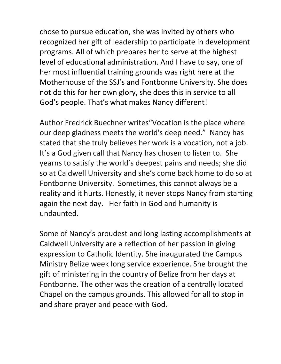chose to pursue education, she was invited by others who recognized her gift of leadership to participate in development programs. All of which prepares her to serve at the highest level of educational administration. And I have to say, one of her most influential training grounds was right here at the Motherhouse of the SSJ's and Fontbonne University. She does not do this for her own glory, she does this in service to all God's people. That's what makes Nancy different!

Author Fredrick Buechner writes"Vocation is the place where our deep gladness meets the world's deep need." Nancy has stated that she truly believes her work is a vocation, not a job. It's a God given call that Nancy has chosen to listen to. She yearns to satisfy the world's deepest pains and needs; she did so at Caldwell University and she's come back home to do so at Fontbonne University. Sometimes, this cannot always be a reality and it hurts. Honestly, it never stops Nancy from starting again the next day. Her faith in God and humanity is undaunted.

Some of Nancy's proudest and long lasting accomplishments at Caldwell University are a reflection of her passion in giving expression to Catholic Identity. She inaugurated the Campus Ministry Belize week long service experience. She brought the gift of ministering in the country of Belize from her days at Fontbonne. The other was the creation of a centrally located Chapel on the campus grounds. This allowed for all to stop in and share prayer and peace with God.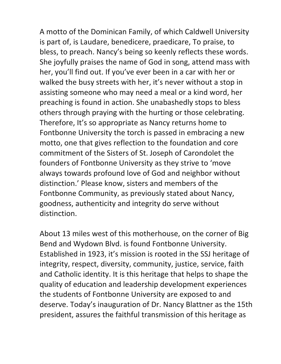A motto of the Dominican Family, of which Caldwell University is part of, is Laudare, benedicere, praedicare, To praise, to bless, to preach. Nancy's being so keenly reflects these words. She joyfully praises the name of God in song, attend mass with her, you'll find out. If you've ever been in a car with her or walked the busy streets with her, it's never without a stop in assisting someone who may need a meal or a kind word, her preaching is found in action. She unabashedly stops to bless others through praying with the hurting or those celebrating. Therefore, It's so appropriate as Nancy returns home to Fontbonne University the torch is passed in embracing a new motto, one that gives reflection to the foundation and core commitment of the Sisters of St. Joseph of Carondolet the founders of Fontbonne University as they strive to 'move always towards profound love of God and neighbor without distinction.' Please know, sisters and members of the Fontbonne Community, as previously stated about Nancy, goodness, authenticity and integrity do serve without distinction.

About 13 miles west of this motherhouse, on the corner of Big Bend and Wydown Blvd. is found Fontbonne University. Established in 1923, it's mission is rooted in the SSJ heritage of integrity, respect, diversity, community, justice, service, faith and Catholic identity. It is this heritage that helps to shape the quality of education and leadership development experiences the students of Fontbonne University are exposed to and deserve. Today's inauguration of Dr. Nancy Blattner as the 15th president, assures the faithful transmission of this heritage as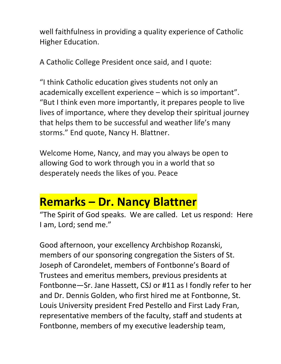well faithfulness in providing a quality experience of Catholic Higher Education.

A Catholic College President once said, and I quote:

"I think Catholic education gives students not only an academically excellent experience – which is so important". "But I think even more importantly, it prepares people to live lives of importance, where they develop their spiritual journey that helps them to be successful and weather life's many storms." End quote, Nancy H. Blattner.

Welcome Home, Nancy, and may you always be open to allowing God to work through you in a world that so desperately needs the likes of you. Peace

### **Remarks – Dr. Nancy Blattner**

"The Spirit of God speaks. We are called. Let us respond: Here I am, Lord; send me."

Good afternoon, your excellency Archbishop Rozanski, members of our sponsoring congregation the Sisters of St. Joseph of Carondelet, members of Fontbonne's Board of Trustees and emeritus members, previous presidents at Fontbonne—Sr. Jane Hassett, CSJ or #11 as I fondly refer to her and Dr. Dennis Golden, who first hired me at Fontbonne, St. Louis University president Fred Pestello and First Lady Fran, representative members of the faculty, staff and students at Fontbonne, members of my executive leadership team,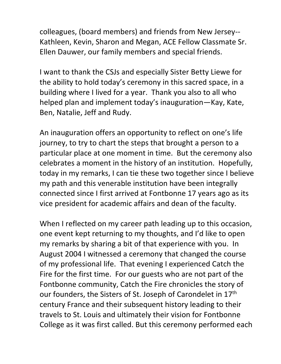colleagues, (board members) and friends from New Jersey-- Kathleen, Kevin, Sharon and Megan, ACE Fellow Classmate Sr. Ellen Dauwer, our family members and special friends.

I want to thank the CSJs and especially Sister Betty Liewe for the ability to hold today's ceremony in this sacred space, in a building where I lived for a year. Thank you also to all who helped plan and implement today's inauguration—Kay, Kate, Ben, Natalie, Jeff and Rudy.

An inauguration offers an opportunity to reflect on one's life journey, to try to chart the steps that brought a person to a particular place at one moment in time. But the ceremony also celebrates a moment in the history of an institution. Hopefully, today in my remarks, I can tie these two together since I believe my path and this venerable institution have been integrally connected since I first arrived at Fontbonne 17 years ago as its vice president for academic affairs and dean of the faculty.

When I reflected on my career path leading up to this occasion, one event kept returning to my thoughts, and I'd like to open my remarks by sharing a bit of that experience with you. In August 2004 I witnessed a ceremony that changed the course of my professional life. That evening I experienced Catch the Fire for the first time. For our guests who are not part of the Fontbonne community, Catch the Fire chronicles the story of our founders, the Sisters of St. Joseph of Carondelet in 17<sup>th</sup> century France and their subsequent history leading to their travels to St. Louis and ultimately their vision for Fontbonne College as it was first called. But this ceremony performed each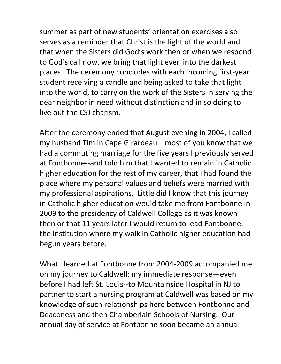summer as part of new students' orientation exercises also serves as a reminder that Christ is the light of the world and that when the Sisters did God's work then or when we respond to God's call now, we bring that light even into the darkest places. The ceremony concludes with each incoming first-year student receiving a candle and being asked to take that light into the world, to carry on the work of the Sisters in serving the dear neighbor in need without distinction and in so doing to live out the CSJ charism.

After the ceremony ended that August evening in 2004, I called my husband Tim in Cape Girardeau—most of you know that we had a commuting marriage for the five years I previously served at Fontbonne--and told him that I wanted to remain in Catholic higher education for the rest of my career, that I had found the place where my personal values and beliefs were married with my professional aspirations. Little did I know that this journey in Catholic higher education would take me from Fontbonne in 2009 to the presidency of Caldwell College as it was known then or that 11 years later I would return to lead Fontbonne, the institution where my walk in Catholic higher education had begun years before.

What I learned at Fontbonne from 2004-2009 accompanied me on my journey to Caldwell: my immediate response—even before I had left St. Louis--to Mountainside Hospital in NJ to partner to start a nursing program at Caldwell was based on my knowledge of such relationships here between Fontbonne and Deaconess and then Chamberlain Schools of Nursing. Our annual day of service at Fontbonne soon became an annual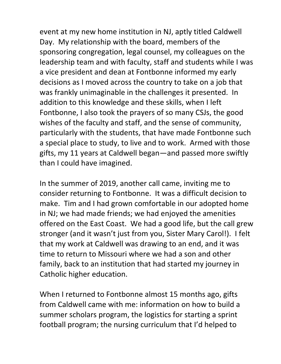event at my new home institution in NJ, aptly titled Caldwell Day. My relationship with the board, members of the sponsoring congregation, legal counsel, my colleagues on the leadership team and with faculty, staff and students while I was a vice president and dean at Fontbonne informed my early decisions as I moved across the country to take on a job that was frankly unimaginable in the challenges it presented. In addition to this knowledge and these skills, when I left Fontbonne, I also took the prayers of so many CSJs, the good wishes of the faculty and staff, and the sense of community, particularly with the students, that have made Fontbonne such a special place to study, to live and to work. Armed with those gifts, my 11 years at Caldwell began—and passed more swiftly than I could have imagined.

In the summer of 2019, another call came, inviting me to consider returning to Fontbonne. It was a difficult decision to make. Tim and I had grown comfortable in our adopted home in NJ; we had made friends; we had enjoyed the amenities offered on the East Coast. We had a good life, but the call grew stronger (and it wasn't just from you, Sister Mary Carol!). I felt that my work at Caldwell was drawing to an end, and it was time to return to Missouri where we had a son and other family, back to an institution that had started my journey in Catholic higher education.

When I returned to Fontbonne almost 15 months ago, gifts from Caldwell came with me: information on how to build a summer scholars program, the logistics for starting a sprint football program; the nursing curriculum that I'd helped to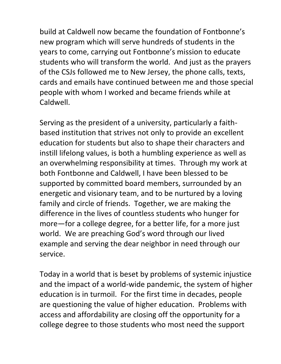build at Caldwell now became the foundation of Fontbonne's new program which will serve hundreds of students in the years to come, carrying out Fontbonne's mission to educate students who will transform the world. And just as the prayers of the CSJs followed me to New Jersey, the phone calls, texts, cards and emails have continued between me and those special people with whom I worked and became friends while at Caldwell.

Serving as the president of a university, particularly a faithbased institution that strives not only to provide an excellent education for students but also to shape their characters and instill lifelong values, is both a humbling experience as well as an overwhelming responsibility at times. Through my work at both Fontbonne and Caldwell, I have been blessed to be supported by committed board members, surrounded by an energetic and visionary team, and to be nurtured by a loving family and circle of friends. Together, we are making the difference in the lives of countless students who hunger for more—for a college degree, for a better life, for a more just world. We are preaching God's word through our lived example and serving the dear neighbor in need through our service.

Today in a world that is beset by problems of systemic injustice and the impact of a world-wide pandemic, the system of higher education is in turmoil. For the first time in decades, people are questioning the value of higher education. Problems with access and affordability are closing off the opportunity for a college degree to those students who most need the support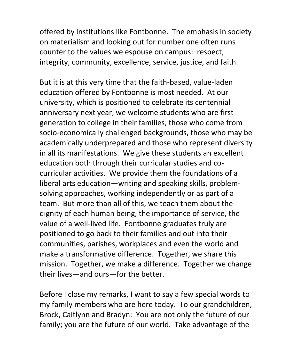offered by institutions like Fontbonne. The emphasis in society on materialism and looking out for number one often runs counter to the values we espouse on campus: respect, integrity, community, excellence, service, justice, and faith.

But it is at this very time that the faith-based, value-laden education offered by Fontbonne is most needed. At our university, which is positioned to celebrate its centennial anniversary next year, we welcome students who are first generation to college in their families, those who come from socio-economically challenged backgrounds, those who may be academically underprepared and those who represent diversity in all its manifestations. We give these students an excellent education both through their curricular studies and cocurricular activities. We provide them the foundations of a liberal arts education—writing and speaking skills, problemsolving approaches, working independently or as part of a team. But more than all of this, we teach them about the dignity of each human being, the importance of service, the value of a well-lived life. Fontbonne graduates truly are positioned to go back to their families and out into their communities, parishes, workplaces and even the world and make a transformative difference. Together, we share this mission. Together, we make a difference. Together we change their lives—and ours—for the better.

Before I close my remarks, I want to say a few special words to my family members who are here today. To our grandchildren, Brock, Caitlynn and Bradyn: You are not only the future of our family; you are the future of our world. Take advantage of the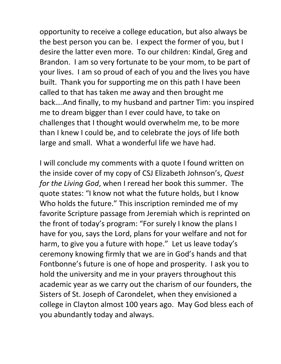opportunity to receive a college education, but also always be the best person you can be. I expect the former of you, but I desire the latter even more. To our children: Kindal, Greg and Brandon. I am so very fortunate to be your mom, to be part of your lives. I am so proud of each of you and the lives you have built. Thank you for supporting me on this path I have been called to that has taken me away and then brought me back….And finally, to my husband and partner Tim: you inspired me to dream bigger than I ever could have, to take on challenges that I thought would overwhelm me, to be more than I knew I could be, and to celebrate the joys of life both large and small. What a wonderful life we have had.

I will conclude my comments with a quote I found written on the inside cover of my copy of CSJ Elizabeth Johnson's, *Quest for the Living God*, when I reread her book this summer. The quote states: "I know not what the future holds, but I know Who holds the future." This inscription reminded me of my favorite Scripture passage from Jeremiah which is reprinted on the front of today's program: "For surely I know the plans I have for you, says the Lord, plans for your welfare and not for harm, to give you a future with hope." Let us leave today's ceremony knowing firmly that we are in God's hands and that Fontbonne's future is one of hope and prosperity. I ask you to hold the university and me in your prayers throughout this academic year as we carry out the charism of our founders, the Sisters of St. Joseph of Carondelet, when they envisioned a college in Clayton almost 100 years ago. May God bless each of you abundantly today and always.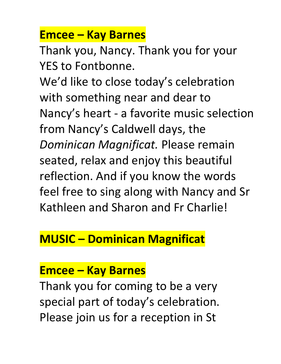# **Emcee – Kay Barnes**

Thank you, Nancy. Thank you for your YES to Fontbonne.

We'd like to close today's celebration with something near and dear to Nancy's heart - a favorite music selection from Nancy's Caldwell days, the *Dominican Magnificat.* Please remain seated, relax and enjoy this beautiful reflection. And if you know the words feel free to sing along with Nancy and Sr Kathleen and Sharon and Fr Charlie!

# **MUSIC – Dominican Magnificat**

# **Emcee – Kay Barnes**

Thank you for coming to be a very special part of today's celebration. Please join us for a reception in St